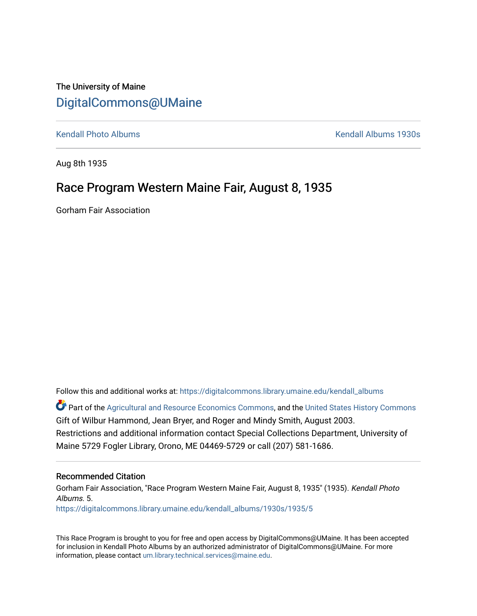## The University of Maine [DigitalCommons@UMaine](https://digitalcommons.library.umaine.edu/)

[Kendall Photo Albums](https://digitalcommons.library.umaine.edu/kendall_albums) [Kendall Albums 1930s](https://digitalcommons.library.umaine.edu/kendall_albums/1930s) 

Aug 8th 1935

## Race Program Western Maine Fair, August 8, 1935

Gorham Fair Association

Follow this and additional works at: [https://digitalcommons.library.umaine.edu/kendall\\_albums](https://digitalcommons.library.umaine.edu/kendall_albums?utm_source=digitalcommons.library.umaine.edu%2Fkendall_albums%2F1930s%2F1935%2F5&utm_medium=PDF&utm_campaign=PDFCoverPages) 

**C** Part of the [Agricultural and Resource Economics Commons,](http://network.bepress.com/hgg/discipline/317?utm_source=digitalcommons.library.umaine.edu%2Fkendall_albums%2F1930s%2F1935%2F5&utm_medium=PDF&utm_campaign=PDFCoverPages) and the [United States History Commons](http://network.bepress.com/hgg/discipline/495?utm_source=digitalcommons.library.umaine.edu%2Fkendall_albums%2F1930s%2F1935%2F5&utm_medium=PDF&utm_campaign=PDFCoverPages) Gift of Wilbur Hammond, Jean Bryer, and Roger and Mindy Smith, August 2003. Restrictions and additional information contact Special Collections Department, University of Maine 5729 Fogler Library, Orono, ME 04469-5729 or call (207) 581-1686.

#### Recommended Citation

Gorham Fair Association, "Race Program Western Maine Fair, August 8, 1935" (1935). Kendall Photo Albums. 5. [https://digitalcommons.library.umaine.edu/kendall\\_albums/1930s/1935/5](https://digitalcommons.library.umaine.edu/kendall_albums/1930s/1935/5?utm_source=digitalcommons.library.umaine.edu%2Fkendall_albums%2F1930s%2F1935%2F5&utm_medium=PDF&utm_campaign=PDFCoverPages) 

This Race Program is brought to you for free and open access by DigitalCommons@UMaine. It has been accepted for inclusion in Kendall Photo Albums by an authorized administrator of DigitalCommons@UMaine. For more information, please contact [um.library.technical.services@maine.edu](mailto:um.library.technical.services@maine.edu).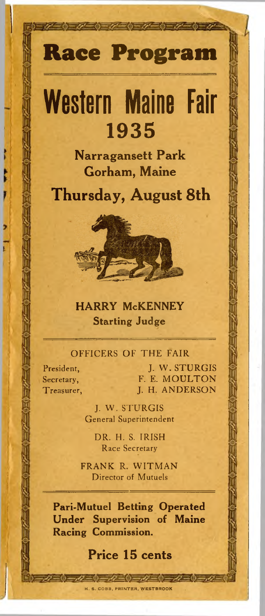## **Race Program**

# **Western Maine Fair** 1935

**Narragansett Park Gorham, Maine**

## **Thursday, August 8th**



#### HARRY McKENNEY Starting Judge

#### **OFFICERS OF THE FAIR**

**President, Secretary, Treasurer,**

**J. W . S T U R G IS** F. E. MOULTON **I. H. ANDERSON** 

**J. W . S T U R G IS General Superintendent**

> DR. H. S. IRISH **Race Secretary**

**FRANK R. WITMAN Director of Mutuels**

Pari-Mutuel Betting Operated Under Supervision of Maine Racing Commission.

### **Price 15 cents**

H. S. COBB, PRINTER, WESTBROOK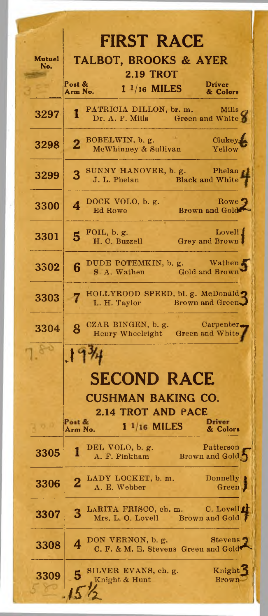|               | <b>FIRST RACE</b>                                                                         |
|---------------|-------------------------------------------------------------------------------------------|
| Mutuel<br>No. | <b>TALBOT, BROOKS &amp; AYER</b>                                                          |
|               | <b>2.19 TROT</b><br>Post &<br><b>Driver</b>                                               |
|               | $1\frac{1}{16}$ MILES<br>Arm No.<br>& Colors                                              |
| 3297          | PATRICIA DILLON, br. m. Mills<br>1<br>Dr. A. P. Mills Green and White                     |
| 3298          | BOBELWIN, b. g.<br>Clukey<br>McWhinney & Sullivan<br>Yellow                               |
| 3299          | 3 SUNNY HANOVER, b. g.<br>Phelan<br>J. L. Phelan Black and White                          |
| 3300          | DOCK VOLO, b. g.<br>Rowe<br>4<br>Brown and Gold<br>Ed Rowe                                |
| 3301          | Lovell<br>FOIL, b. g.<br>5<br>Grey and Brown<br>H. C. Buzzell                             |
| 3302          | DUDE POTEMKIN, b. g. Wathen<br>6<br>S. A. Wathen Gold and Brown                           |
| 3303          | HOLLYROOD SPEED, bl. g. McDonald<br>Brown and Green<br>L. H. Taylor                       |
| 3304          | $Carpenter_{\blacksquare}$<br>CZAR BINGEN, b. g.<br>8<br>Henry Wheelright Green and White |
|               | $\mathcal{X}$                                                                             |
|               | <b>SECOND RACE</b>                                                                        |
|               |                                                                                           |
|               | <b>CUSHMAN BAKING CO.</b><br>2.14 TROT AND PACE                                           |
|               | Post &<br>Driver<br>$11/16$ MILES<br>Arm No.<br>& Colors                                  |
| 3305          | Patterson<br>DEL VOLO, b. g.<br>1<br>A. F. Pinkham<br>Brown and Gold                      |
| 3306          | LADY LOCKET, b. m.<br>Donnelly<br>$\overline{\mathbf{2}}$<br>A. E. Webber<br>Green.       |
| 3307          | LARITA FRISCO, ch. m. C. Lovell<br>3<br>Brown and Gold<br>Mrs. L. O. Lovell               |
| 3308          | DON VERNON, b. g.<br><b>Stevens</b><br>4<br>C. F. & M. E. Stevens Green and Gold          |
| 3309          | Knight<br>SILVER EVANS, ch. g.<br>Knight & Hunt<br>Brown                                  |
|               |                                                                                           |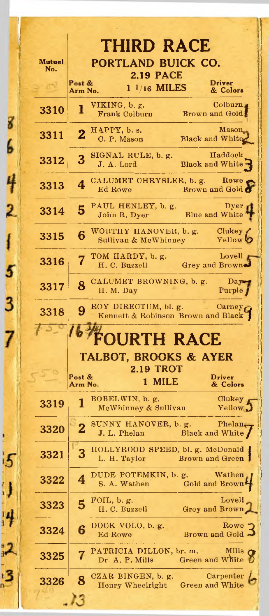|                      | <b>THIRD RACE</b>                                                                        |  |  |  |
|----------------------|------------------------------------------------------------------------------------------|--|--|--|
| <b>Mutuel</b><br>No. | PORTLAND BUICK CO.<br><b>2.19 PACE</b>                                                   |  |  |  |
|                      | Post &<br><b>Driver</b><br>$1\frac{1}{16}$ MILES<br>& Colors<br>Arm No.                  |  |  |  |
| 3310                 | Colburn,<br>VIKING, b. g.<br>1<br>Brown and Gold<br>Frank Colburn                        |  |  |  |
| 3311                 | <b>Mason</b><br>HAPPY, b. s.<br>$\overline{2}$<br><b>Black and White</b><br>C. P. Mason  |  |  |  |
| 3312                 | Haddock<br>SIGNAL RULE, b. g.<br>3<br>Black and White<br>J. A. Lord                      |  |  |  |
| 3313                 | CALUMET CHRYSLER, b. g. Rowe<br>4<br>Brown and Gold<br>Ed Rowe                           |  |  |  |
| 3314                 | PAUL HENLEY, b. g.<br>Dyer<br>5<br>Blue and White<br>John R. Dyer                        |  |  |  |
| 3315                 | WORTHY HANOVER, b. g.<br>Clukey<br>6<br>Yellow<br>Sullivan & McWhinney                   |  |  |  |
| 3316                 | Lovell<br>TOM HARDY, b. g.<br>H. C. Buzzell Grey and Brown                               |  |  |  |
| 3317                 | CALUMET BROWNING, b. g.<br>$\mathbf{Day}$<br>8<br>H. M. Day<br>Purple                    |  |  |  |
| 3318                 | ROY DIRECTUM, bl. g.<br>Carney<br>9<br>Kennett & Robinson Brown and Black                |  |  |  |
|                      | <b>FOURTH RACE</b>                                                                       |  |  |  |
|                      | <b>TALBOT, BROOKS &amp; AYER</b>                                                         |  |  |  |
|                      | <b>2.19 TROT</b><br>Post &<br><b>Driver</b><br>1 MILE                                    |  |  |  |
| 3319                 | Arm No.<br>& Colors<br>BOBELWIN, b. g.<br>Clukey<br>1<br>Yellow.<br>McWhinney & Sullivan |  |  |  |
| 3320                 | SUNNY HANOVER, b. g. Phelan $_{\tau}$<br>2<br>Black and White<br>J. L. Phelan            |  |  |  |
| 3321                 | HOLLYROOD SPEED, bl. g. McDonald<br>L. H. Taylor<br>Brown and Green                      |  |  |  |
| 3322                 | DUDE POTEMKIN, b. g.<br>Wathen<br>Gold and Brown<br>S. A. Wathen                         |  |  |  |
| 3323                 | Lovell<br>FOIL, $b. g.$<br>5<br>Grey and Brown<br>H. C. Buzzell                          |  |  |  |
| 3324                 | Rowe<br>DOCK VOLO, b. g.<br>6<br>Brown and Gold<br>Ed Rowe                               |  |  |  |
| 3325                 | PATRICIA DILLON, br. m.<br>Mills<br>Green and White<br>Dr. A. P. Mills                   |  |  |  |
| 3326                 | CZAR BINGEN, b. g.<br>Carpenter<br>Green and White<br>Henry Wheelright                   |  |  |  |
|                      |                                                                                          |  |  |  |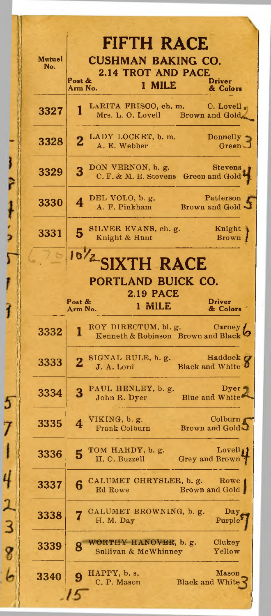| <b>Mutuel</b><br>No. | <b>FIFTH RACE</b><br><b>CUSHMAN BAKING CO.</b><br><b>2.14 TROT AND PACE</b><br>Post &<br><b>Driver</b><br>1 MILE<br>Arm No.<br>& Colors |
|----------------------|-----------------------------------------------------------------------------------------------------------------------------------------|
| 3327                 | LARITA FRISCO, ch. m. C. Lovell,<br>$\mathbf{1}$<br>Mrs. L. O. Lovell Brown and Gold                                                    |
| 3328                 | 2 LADY LOCKET, b. m.<br>Donnelly<br>A. E. Webber<br>Green.                                                                              |
| 3329                 | DON VERNON, b. g. Stevens<br>C. F. & M. E. Stevens Green and Gold<br>3                                                                  |
| 3330                 | Patterson<br>DEL VOLO, b. g.<br>4<br>A. F. Pinkham Brown and Gold                                                                       |
| 3331                 | Knight<br>SILVER EVANS, ch. g.<br>5<br>Knight & Hunt<br>Brown                                                                           |
|                      | 10/2 SIXTH RACE                                                                                                                         |
|                      | PORTLAND BUICK CO.                                                                                                                      |
|                      | <b>2.19 PACE</b><br>Post $\&$<br><b>Driver</b><br>1 MILE<br>Arm No.<br>& Colors                                                         |
| 3332                 | ROY DIRECTUM, bl. g. Carney<br>1                                                                                                        |
| 3333                 | Haddock C<br>2 SIGNAL RULE, b. g. Haddock<br>J A. Lord Black and White                                                                  |
| 3334                 | PAUL HENLEY, b. g.<br>Dyer $\blacksquare$<br>3<br>Blue and White<br>John R. Dyer                                                        |
| 3335                 | Colburn $\epsilon$<br>VIKING, $b. g.$<br>$\overline{\bf{4}}$<br>Brown and Gold<br><b>Frank Colburn</b>                                  |
| 3336                 | TOM HARDY, b. g.<br>Lovell,<br>5<br>H. C. Buzzell<br>Grey and Brown                                                                     |
| 3337                 | CALUMET CHRYSLER, b. g.<br>Rowe 1<br>6<br>Brown and Gold<br>Ed Rowe                                                                     |
| 3338                 | CALUMET BROWNING, b. g.<br>$_{\rm Day}$<br>H. M. Day<br>Purple                                                                          |
| 3339                 | WORTHY HANOVER, b. g.<br>Clukey<br>8<br>Sullivan & McWhinney<br>Yellow                                                                  |
|                      | HAPPY, b. s.<br>Mason                                                                                                                   |
| 3340                 | C. P. Mason<br><b>Black and White</b>                                                                                                   |

I are the other in the team that

57142386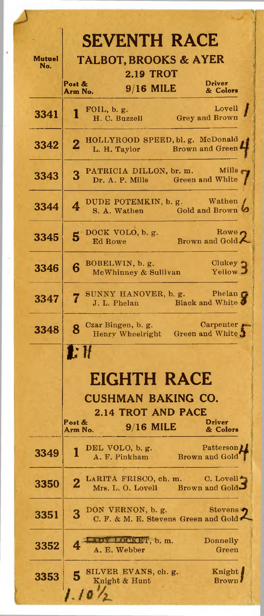| <b>SEVENTH RACE</b> |                                                                                             |                                                        |
|---------------------|---------------------------------------------------------------------------------------------|--------------------------------------------------------|
| Mutuel<br>No.       | <b>TALBOT, BROOKS &amp; AYER</b><br><b>2.19 TROT</b>                                        |                                                        |
|                     | Post &<br>$9/16$ MILE                                                                       | Driver                                                 |
|                     | Arm No.                                                                                     | & Colors                                               |
| 3341                | FOIL, $b. g.$<br>1<br>H. C. Buzzell                                                         | Lovell<br>Grey and Brown                               |
| 3342                | HOLLYROOD SPEED, bl. g. McDonald<br>$\overline{\mathbf{2}}$<br>L. H. Taylor Brown and Green |                                                        |
| 3343                | PATRICIA DILLON, br. m.<br>3<br>Dr. A. P. Mills Green and White                             | Mills                                                  |
| 3344                | DUDE POTEMKIN, b. g. Wathen<br>4<br>S. A. Wathen Gold and Brown                             |                                                        |
| 3345                | DOCK VOLO, b. g.<br>5<br>Ed Rowe                                                            | Rowe,<br>Brown and Gold.                               |
| 3346                | BOBELWIN, b. g.<br>6<br>McWhinney & Sullivan                                                | Clukey<br>Yellow.                                      |
| 3347                | SUNNY HANOVER, b. g.<br>J. L. Phelan                                                        | Phelan <b>C</b><br><b>Example 19 Black and White 5</b> |
| 3348                | Czar Bingen, b. g. Carpenter<br>Henry Wheelright Green and White<br>8                       |                                                        |
|                     |                                                                                             |                                                        |
|                     | 1: H                                                                                        |                                                        |
|                     |                                                                                             |                                                        |
|                     | EIGHTH RACE                                                                                 |                                                        |
|                     | <b>CUSHMAN BAKING CO.</b>                                                                   |                                                        |
|                     | <b>2.14 TROT AND PACE</b><br>DST QZ                                                         | DIIVEI                                                 |
|                     | 9/16 MILE<br>Arm No.                                                                        | & Colors                                               |
| 3349                | DEL VOLO, b.g.<br>1<br>A. F. Pinkham                                                        | Patterson<br>Brown and Gold                            |
| 3350                | LARITA FRISCO, ch. m. C. Lovell<br>$\overline{2}$                                           | Mrs. L. O. Lovell Brown and Gold-                      |
| 3351                | DON VERNON, b. g.<br>3<br>C. F. & M. E. Stevens Green and Gold                              | <b>Stevens</b>                                         |
| 3352                | LOCKET, b. m.<br>A. E. Webber                                                               | Donnelly<br>Green                                      |